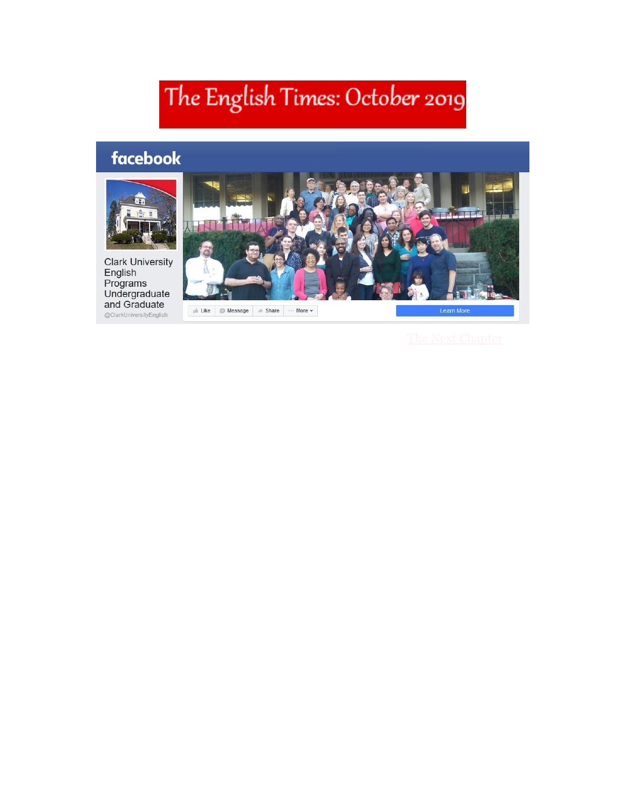# The English Times: October 2019

## facebook



Clark University<br>English<br>Programs<br>Undergraduate<br>and Graduate @ClarkUniversityEnglish

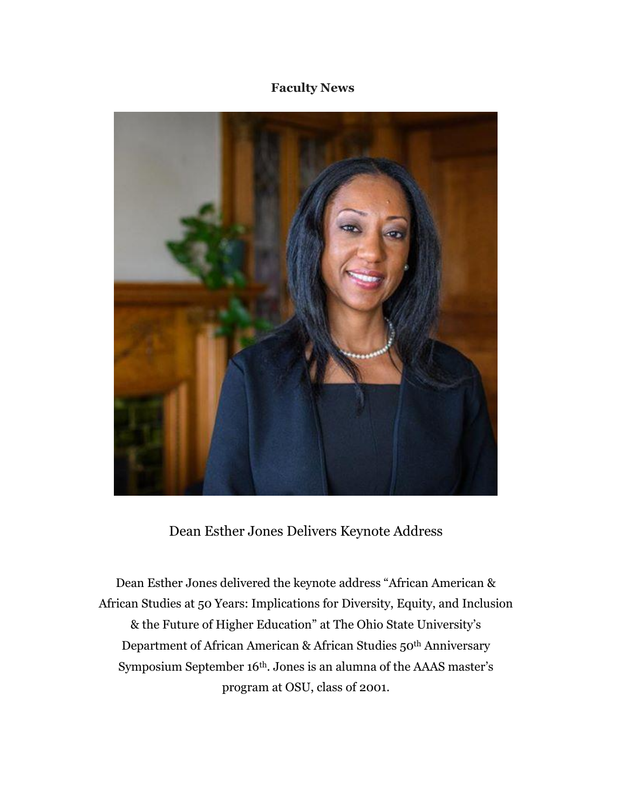### **Faculty News**



### Dean Esther Jones Delivers Keynote Address

Dean Esther Jones delivered the keynote address "African American & African Studies at 50 Years: Implications for Diversity, Equity, and Inclusion & the Future of Higher Education" at The Ohio State University's Department of African American & African Studies 50th Anniversary Symposium September 16th. Jones is an alumna of the AAAS master's program at OSU, class of 2001.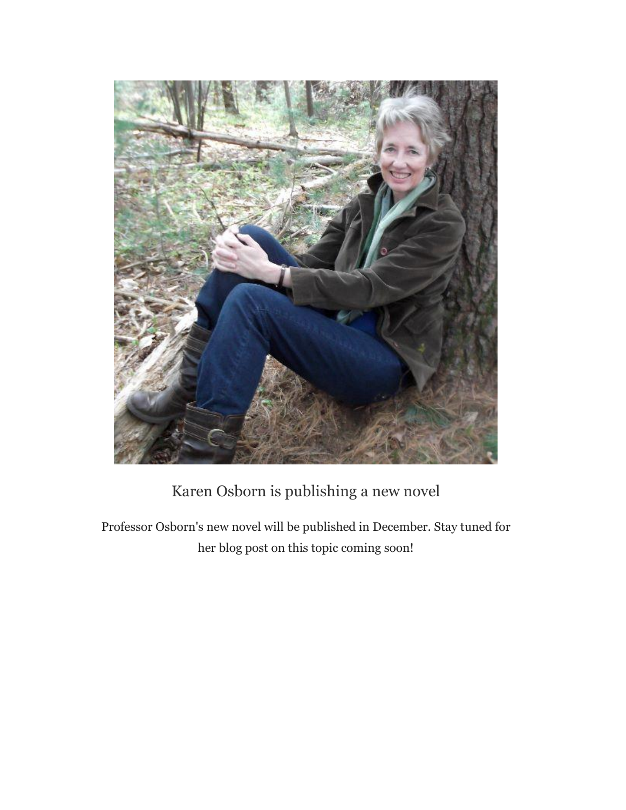

### Karen Osborn is publishing a new novel

Professor Osborn's new novel will be published in December. Stay tuned for her blog post on this topic coming soon!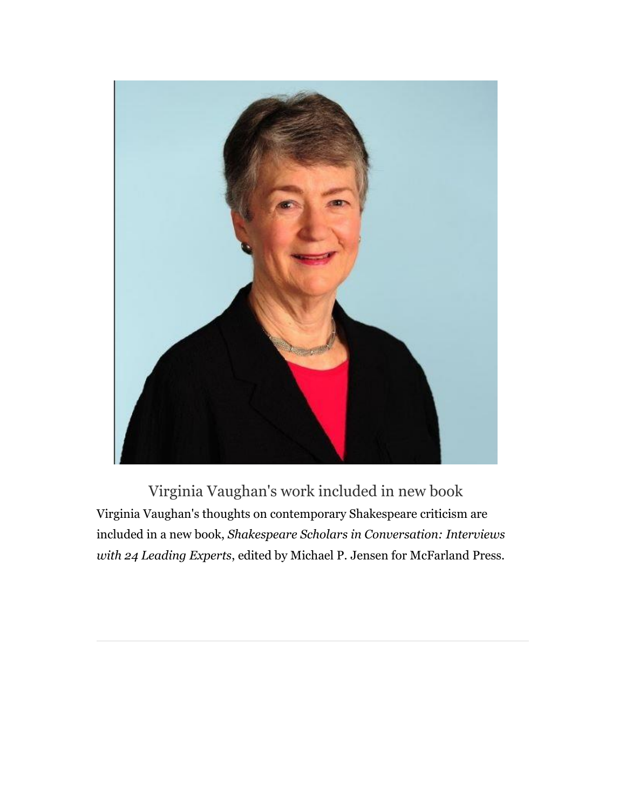

Virginia Vaughan's work included in new book Virginia Vaughan's thoughts on contemporary Shakespeare criticism are included in a new book, *Shakespeare Scholars in Conversation: Interviews with 24 Leading Experts*, edited by Michael P. Jensen for McFarland Press.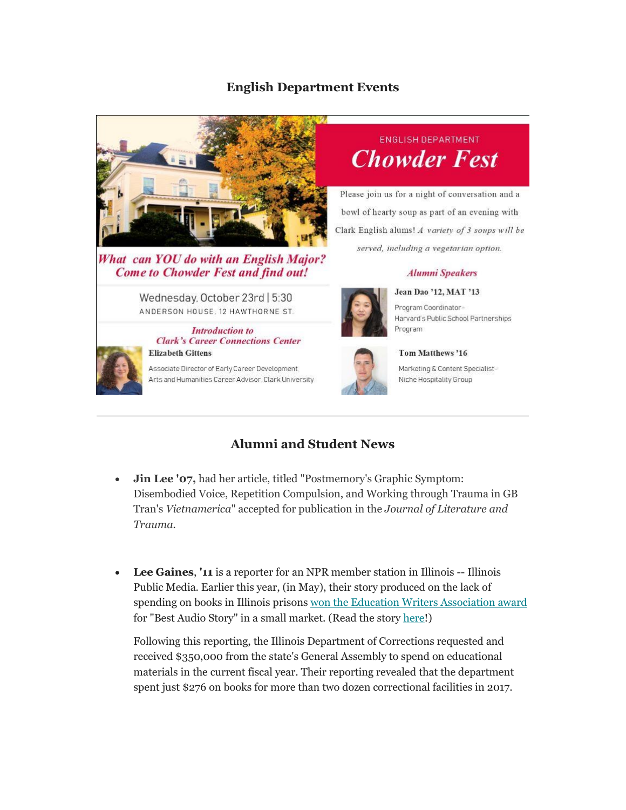### **English Department Events**



What can YOU do with an English Major? **Come to Chowder Fest and find out!** 

Wednesday, October 23rd | 5:30 ANDERSON HOUSE, 12 HAWTHORNE ST.

**Introduction to** 



**Clark's Career Connections Center Elizabeth Gittens** 

Associate Director of Early Career Development. Arts and Humanities Career Advisor, Clark University



Please join us for a night of conversation and a bowl of hearty soup as part of an evening with Clark English alums! A variety of 3 soups will be served, including a vegetarian option.

#### **Alumni Speakers** Jean Dao '12, MAT '13



Program Coordinator-Harvard's Public School Partnerships Program



Marketing & Content Specialist-Niche Hospitality Group

Tom Matthews '16

### **Alumni and Student News**

- **Jin Lee '07,** had her article, titled "Postmemory's Graphic Symptom: Disembodied Voice, Repetition Compulsion, and Working through Trauma in GB Tran's *Vietnamerica*" accepted for publication in the *Journal of Literature and Trauma.*
- **Lee Gaines**, **'11** is a reporter for an NPR member station in Illinois -- Illinois Public Media. Earlier this year, (in May), their story produced on the lack of spending on books in Illinois prison[s won the Education Writers Association award](https://nam10.safelinks.protection.outlook.com/?url=https%3A%2F%2Fwww.ewa.org%2Ffirst-prize%2Fillinois-prison-system-spent-less-300-books-last-year&data=02%7C01%7Cga_english%40clarku.edu%7C0a339866f8574069294808d742cc1af5%7Cb5b2263d68aa453eb972aa1421410f80%7C1%7C0%7C637051316726675798&sdata=y3noQOxYAIWKY6xg1S9R3IEASPutQpYyCqnSrkFEKCo%3D&reserved=0) for "Best Audio Story" in a small market. (Read the stor[y here!](http://https/will.illinois.edu/news/story/illinois-prison-system-spent-less-than-300-on-books-last-year))

Following this reporting, the Illinois Department of Corrections requested and received \$350,000 from the state's General Assembly to spend on educational materials in the current fiscal year. Their reporting revealed that the department spent just \$276 on books for more than two dozen correctional facilities in 2017.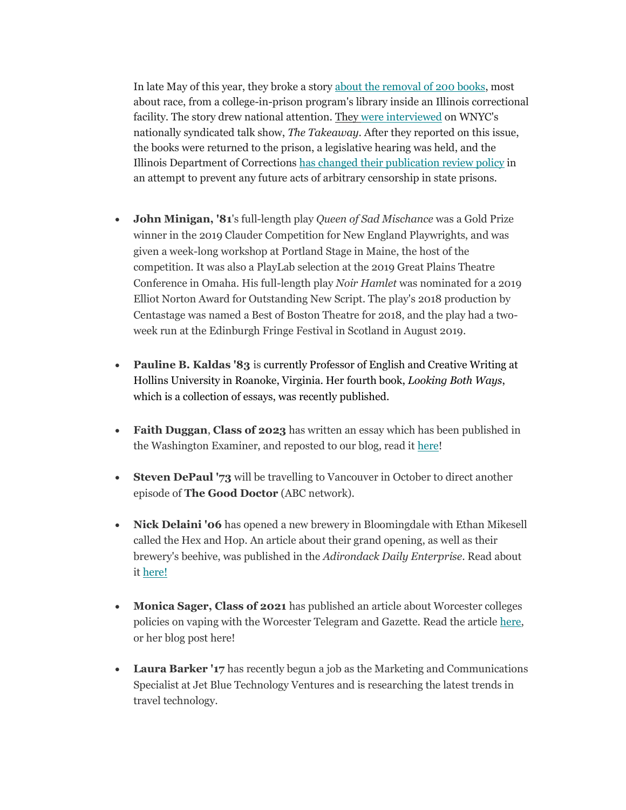In late May of this year, they broke a stor[y about the removal of 200 books,](https://nam10.safelinks.protection.outlook.com/?url=https%3A%2F%2Fwill.illinois.edu%2Fnews%2Fstory%2Fillinois-prison-removes-more-than-200-books-from-prison-library&data=02%7C01%7Cga_english%40clarku.edu%7C5fd64439c14c4950178c08d742a8a142%7Cb5b2263d68aa453eb972aa1421410f80%7C1%7C0%7C637051164349087286&sdata=a8kyCjV3NHS4mgDiNsI%2B2Qm0TM7F5g2EiFGIWx5f%2B7k%3D&reserved=0) most about race, from a college-in-prison program's library inside an Illinois correctional facility. The story drew national attention. They [were interviewed](https://nam10.safelinks.protection.outlook.com/?url=https%3A%2F%2Fwww.wnycstudios.org%2Fpodcasts%2Ftakeaway%2Fsegments%2Fenduring-battle-over-access-educational-materials-inmates&data=02%7C01%7Cga_english%40clarku.edu%7C5fd64439c14c4950178c08d742a8a142%7Cb5b2263d68aa453eb972aa1421410f80%7C1%7C0%7C637051164349097279&sdata=TFufRo3MiiNNF20Zwmi4ddJPd1Y%2FNQ6JFOOS1ZbWkok%3D&reserved=0) on WNYC's nationally syndicated talk show, *The Takeaway*. After they reported on this issue, the books were returned to the prison, a legislative hearing was held, and the Illinois Department of Correction[s has changed their publication review policy](https://nam10.safelinks.protection.outlook.com/?url=https%3A%2F%2Fwww.nprillinois.org%2Fpost%2Fidoc-implement-new-policy-prevent-arbitrary-censorship-books%23stream%2F0&data=02%7C01%7Cga_english%40clarku.edu%7C5fd64439c14c4950178c08d742a8a142%7Cb5b2263d68aa453eb972aa1421410f80%7C1%7C0%7C637051164349097279&sdata=fruAlizeu7b4lNxXl2PpE5fdgM9Nqufhl1u1ErbFwlU%3D&reserved=0) in an attempt to prevent any future acts of arbitrary censorship in state prisons.

- **John Minigan, '81**'s full-length play *Queen of Sad Mischance* was a Gold Prize winner in the 2019 Clauder Competition for New England Playwrights, and was given a week-long workshop at Portland Stage in Maine, the host of the competition. It was also a PlayLab selection at the 2019 Great Plains Theatre Conference in Omaha. His full-length play *Noir Hamlet* was nominated for a 2019 Elliot Norton Award for Outstanding New Script. The play's 2018 production by Centastage was named a Best of Boston Theatre for 2018, and the play had a twoweek run at the Edinburgh Fringe Festival in Scotland in August 2019.
- **Pauline B. Kaldas '83** is currently Professor of English and Creative Writing at Hollins University in Roanoke, Virginia. Her fourth book, *Looking Both Ways*, which is a collection of essays, was recently published.
- **Faith Duggan**, **Class of 2023** has written an essay which has been published in the Washington Examiner, and reposted to our blog, read it [here!](https://news.clarku.edu/next-chapter/2019/10/02/welcome-to-the-freshman-class-of-9-11/)
- **Steven DePaul '73** will be travelling to Vancouver in October to direct another episode of **The Good Doctor** (ABC network).
- **Nick Delaini '06** has opened a new brewery in Bloomingdale with Ethan Mikesell called the Hex and Hop. An article about their grand opening, as well as their brewery's beehive, was published in the *Adirondack Daily Enterprise*. Read about i[t here!](http://https/www.adirondackdailyenterprise.com/news/local-news/2019/07/getting-buzzed-hex-and-hop-combines-bees-and-beer-in-bdale/)
- **Monica Sager, Class of 2021** has published an article about Worcester colleges policies on vaping with the Worcester Telegram and Gazette. Read the article [here,](https://www.msn.com/en-us/health/wellness/worcester-colleges-turn-eyes-on-vaping-policies-vary/ar-AAHDYmc) or her blog post here!
- **Laura Barker '17** has recently begun a job as the Marketing and Communications Specialist at Jet Blue Technology Ventures and is researching the latest trends in travel technology.